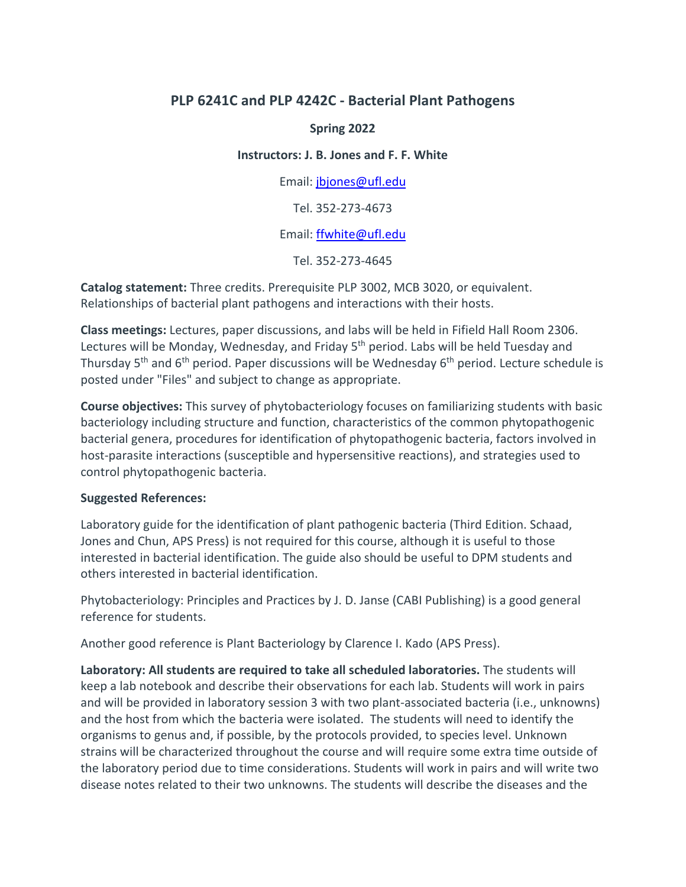#### **PLP 6241C and PLP 4242C - Bacterial Plant Pathogens**

#### **Spring 2022**

#### **Instructors: J. B. Jones and F. F. White**

Email: jbjones@ufl.edu

Tel. 352-273-4673

#### Email: ffwhite@ufl.edu

Tel. 352-273-4645

**Catalog statement:** Three credits. Prerequisite PLP 3002, MCB 3020, or equivalent. Relationships of bacterial plant pathogens and interactions with their hosts.

**Class meetings:** Lectures, paper discussions, and labs will be held in Fifield Hall Room 2306. Lectures will be Monday, Wednesday, and Friday 5<sup>th</sup> period. Labs will be held Tuesday and Thursday  $5<sup>th</sup>$  and  $6<sup>th</sup>$  period. Paper discussions will be Wednesday  $6<sup>th</sup>$  period. Lecture schedule is posted under "Files" and subject to change as appropriate.

**Course objectives:** This survey of phytobacteriology focuses on familiarizing students with basic bacteriology including structure and function, characteristics of the common phytopathogenic bacterial genera, procedures for identification of phytopathogenic bacteria, factors involved in host-parasite interactions (susceptible and hypersensitive reactions), and strategies used to control phytopathogenic bacteria.

#### **Suggested References:**

Laboratory guide for the identification of plant pathogenic bacteria (Third Edition. Schaad, Jones and Chun, APS Press) is not required for this course, although it is useful to those interested in bacterial identification. The guide also should be useful to DPM students and others interested in bacterial identification.

Phytobacteriology: Principles and Practices by J. D. Janse (CABI Publishing) is a good general reference for students.

Another good reference is Plant Bacteriology by Clarence I. Kado (APS Press).

**Laboratory: All students are required to take all scheduled laboratories.** The students will keep a lab notebook and describe their observations for each lab. Students will work in pairs and will be provided in laboratory session 3 with two plant-associated bacteria (i.e., unknowns) and the host from which the bacteria were isolated. The students will need to identify the organisms to genus and, if possible, by the protocols provided, to species level. Unknown strains will be characterized throughout the course and will require some extra time outside of the laboratory period due to time considerations. Students will work in pairs and will write two disease notes related to their two unknowns. The students will describe the diseases and the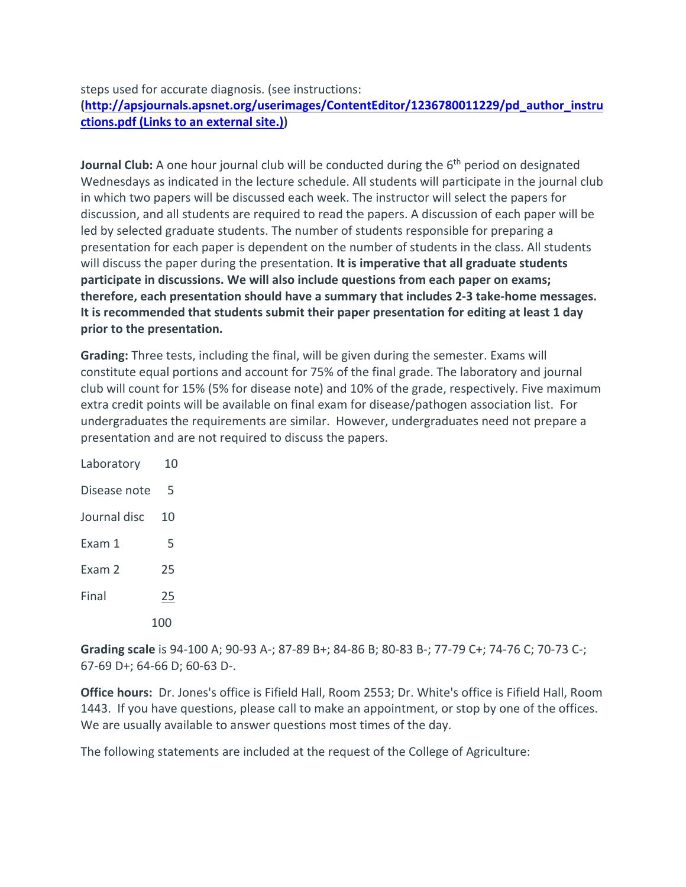steps used for accurate diagnosis. (see instructions:

**(http://apsjournals.apsnet.org/userimages/ContentEditor/1236780011229/pd\_author\_instru ctions.pdf (Links to an external site.))**

**Journal Club:** A one hour journal club will be conducted during the 6<sup>th</sup> period on designated Wednesdays as indicated in the lecture schedule. All students will participate in the journal club in which two papers will be discussed each week. The instructor will select the papers for discussion, and all students are required to read the papers. A discussion of each paper will be led by selected graduate students. The number of students responsible for preparing a presentation for each paper is dependent on the number of students in the class. All students will discuss the paper during the presentation. **It is imperative that all graduate students participate in discussions. We will also include questions from each paper on exams; therefore, each presentation should have a summary that includes 2-3 take-home messages. It is recommended that students submit their paper presentation for editing at least 1 day prior to the presentation.**

**Grading:** Three tests, including the final, will be given during the semester. Exams will constitute equal portions and account for 75% of the final grade. The laboratory and journal club will count for 15% (5% for disease note) and 10% of the grade, respectively. Five maximum extra credit points will be available on final exam for disease/pathogen association list. For undergraduates the requirements are similar. However, undergraduates need not prepare a presentation and are not required to discuss the papers.

| Laboratory   | 10  |
|--------------|-----|
| Disease note | 5   |
| Journal disc | 10  |
| Fxam 1       | 5   |
| Exam 2       | 25  |
| Final        | 25  |
|              | 100 |

**Grading scale** is 94-100 A; 90-93 A-; 87-89 B+; 84-86 B; 80-83 B-; 77-79 C+; 74-76 C; 70-73 C-; 67-69 D+; 64-66 D; 60-63 D-.

**Office hours:** Dr. Jones's office is Fifield Hall, Room 2553; Dr. White's office is Fifield Hall, Room 1443. If you have questions, please call to make an appointment, or stop by one of the offices. We are usually available to answer questions most times of the day.

The following statements are included at the request of the College of Agriculture: